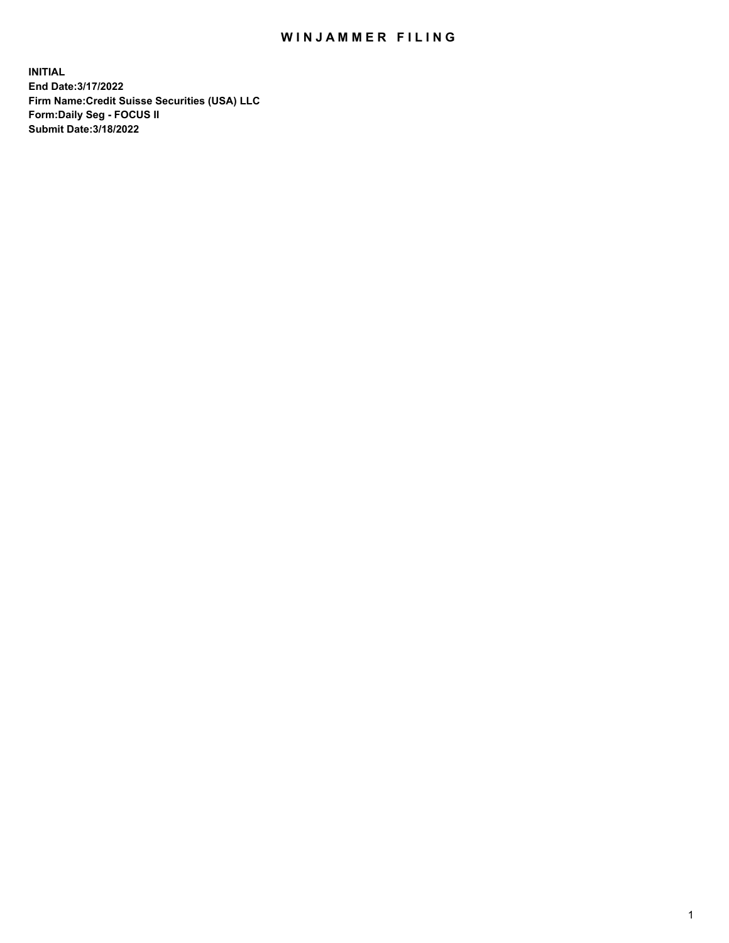## WIN JAMMER FILING

**INITIAL End Date:3/17/2022 Firm Name:Credit Suisse Securities (USA) LLC Form:Daily Seg - FOCUS II Submit Date:3/18/2022**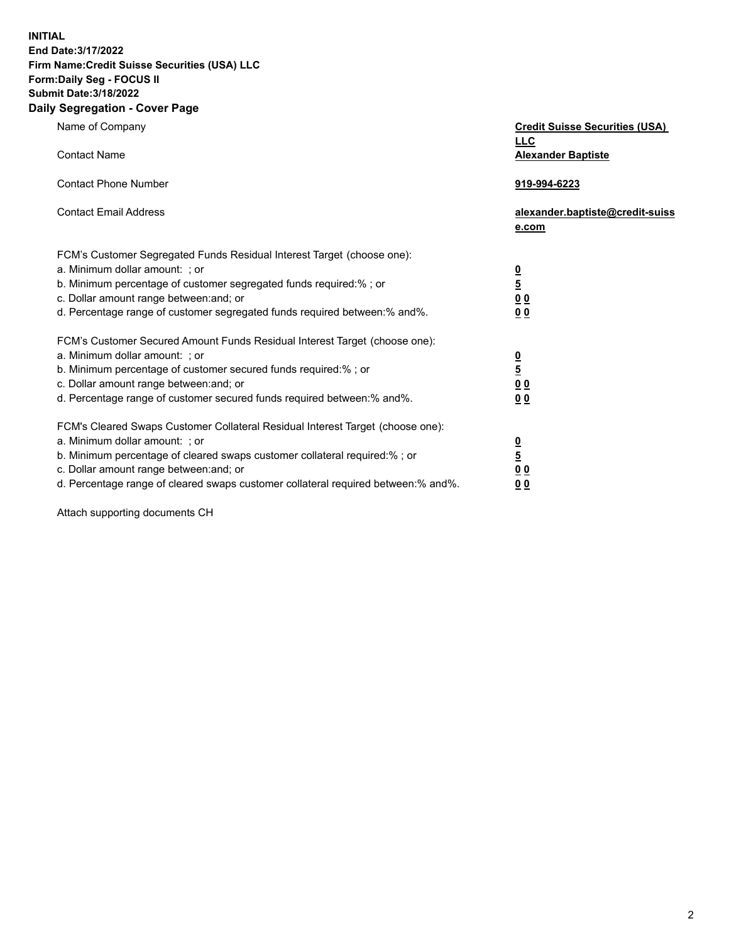**INITIAL End Date:3/17/2022** 

## **Firm Name:Credit Suisse Securities (USA) LLC Form:Daily Seg - FOCUS II Submit Date:3/18/2022**

## **Daily Segregation - Cover Page**

| Name of Company                                                                                                                                                                                                                                                                                                                | <b>Credit Suisse Securities (USA)</b><br><b>LLC</b>                |
|--------------------------------------------------------------------------------------------------------------------------------------------------------------------------------------------------------------------------------------------------------------------------------------------------------------------------------|--------------------------------------------------------------------|
| <b>Contact Name</b>                                                                                                                                                                                                                                                                                                            | <b>Alexander Baptiste</b>                                          |
| <b>Contact Phone Number</b>                                                                                                                                                                                                                                                                                                    | 919-994-6223                                                       |
| <b>Contact Email Address</b>                                                                                                                                                                                                                                                                                                   | alexander.baptiste@credit-suiss<br>e.com                           |
| FCM's Customer Segregated Funds Residual Interest Target (choose one):<br>a. Minimum dollar amount: ; or<br>b. Minimum percentage of customer segregated funds required:% ; or<br>c. Dollar amount range between: and; or<br>d. Percentage range of customer segregated funds required between:% and%.                         | $\frac{0}{\frac{5}{0}}$<br>0 <sub>0</sub>                          |
| FCM's Customer Secured Amount Funds Residual Interest Target (choose one):<br>a. Minimum dollar amount: ; or<br>b. Minimum percentage of customer secured funds required:%; or<br>c. Dollar amount range between: and; or<br>d. Percentage range of customer secured funds required between:% and%.                            | $\frac{0}{5}$<br>$\underline{0}$ $\underline{0}$<br>0 <sub>0</sub> |
| FCM's Cleared Swaps Customer Collateral Residual Interest Target (choose one):<br>a. Minimum dollar amount: ; or<br>b. Minimum percentage of cleared swaps customer collateral required:% ; or<br>c. Dollar amount range between: and; or<br>d. Percentage range of cleared swaps customer collateral required between:% and%. | $\frac{0}{5}$<br>0 <sub>0</sub><br>0 <sub>0</sub>                  |

Attach supporting documents CH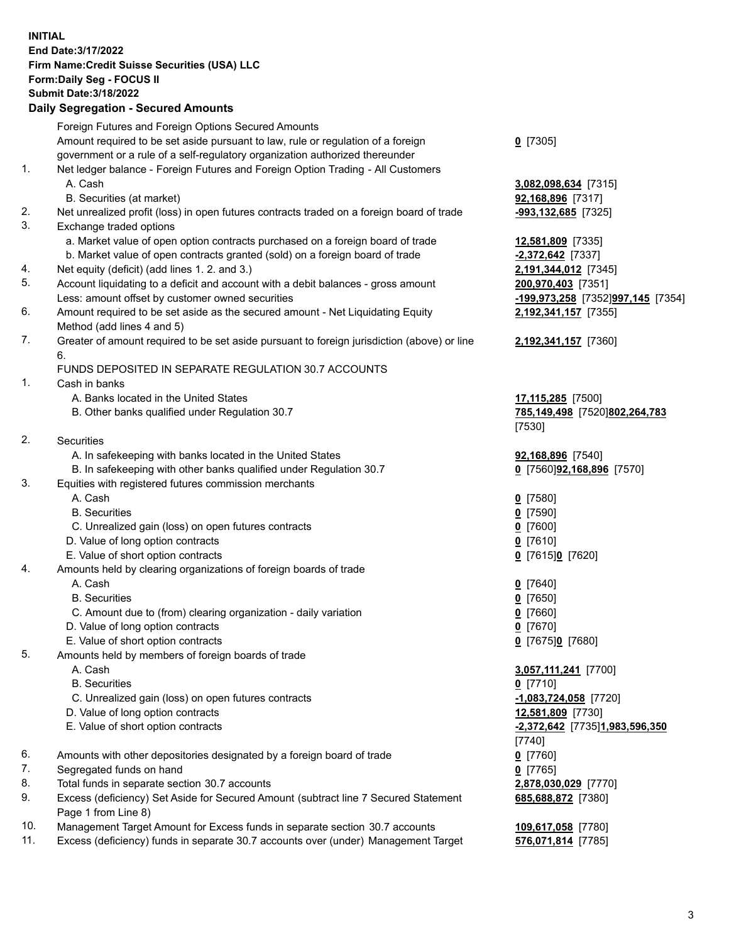**INITIAL End Date:3/17/2022 Firm Name:Credit Suisse Securities (USA) LLC Form:Daily Seg - FOCUS II Submit Date:3/18/2022** 

## **Daily Segregation - Secured Amounts**

|     | Foreign Futures and Foreign Options Secured Amounts                                                                       |                                   |
|-----|---------------------------------------------------------------------------------------------------------------------------|-----------------------------------|
|     | Amount required to be set aside pursuant to law, rule or regulation of a foreign                                          | $0$ [7305]                        |
|     | government or a rule of a self-regulatory organization authorized thereunder                                              |                                   |
| 1.  | Net ledger balance - Foreign Futures and Foreign Option Trading - All Customers                                           |                                   |
|     | A. Cash                                                                                                                   | 3,082,098,634 [7315]              |
|     | B. Securities (at market)                                                                                                 | 92,168,896 [7317]                 |
| 2.  | Net unrealized profit (loss) in open futures contracts traded on a foreign board of trade                                 | -993,132,685 [7325]               |
| 3.  | Exchange traded options                                                                                                   |                                   |
|     | a. Market value of open option contracts purchased on a foreign board of trade                                            | 12,581,809 [7335]                 |
|     | b. Market value of open contracts granted (sold) on a foreign board of trade                                              | $-2,372,642$ [7337]               |
| 4.  | Net equity (deficit) (add lines 1. 2. and 3.)                                                                             | 2,191,344,012 [7345]              |
| 5.  | Account liquidating to a deficit and account with a debit balances - gross amount                                         | 200,970,403 [7351]                |
|     | Less: amount offset by customer owned securities                                                                          | -199,973,258 [7352]997,145 [7354] |
| 6.  | Amount required to be set aside as the secured amount - Net Liquidating Equity                                            | 2,192,341,157 [7355]              |
| 7.  | Method (add lines 4 and 5)<br>Greater of amount required to be set aside pursuant to foreign jurisdiction (above) or line |                                   |
|     | 6.                                                                                                                        | 2,192,341,157 [7360]              |
|     | FUNDS DEPOSITED IN SEPARATE REGULATION 30.7 ACCOUNTS                                                                      |                                   |
| 1.  | Cash in banks                                                                                                             |                                   |
|     | A. Banks located in the United States                                                                                     | 17,115,285 [7500]                 |
|     | B. Other banks qualified under Regulation 30.7                                                                            | 785,149,498 [7520]802,264,783     |
|     |                                                                                                                           | [7530]                            |
| 2.  | Securities                                                                                                                |                                   |
|     | A. In safekeeping with banks located in the United States                                                                 | 92,168,896 [7540]                 |
|     | B. In safekeeping with other banks qualified under Regulation 30.7                                                        | 0 [7560]92,168,896 [7570]         |
| 3.  | Equities with registered futures commission merchants                                                                     |                                   |
|     | A. Cash                                                                                                                   | $0$ [7580]                        |
|     | <b>B.</b> Securities                                                                                                      | $0$ [7590]                        |
|     | C. Unrealized gain (loss) on open futures contracts                                                                       | $0$ [7600]                        |
|     | D. Value of long option contracts                                                                                         | $0$ [7610]                        |
|     | E. Value of short option contracts                                                                                        | 0 [7615]0 [7620]                  |
| 4.  | Amounts held by clearing organizations of foreign boards of trade                                                         |                                   |
|     | A. Cash                                                                                                                   | $0$ [7640]                        |
|     | <b>B.</b> Securities                                                                                                      | $0$ [7650]                        |
|     | C. Amount due to (from) clearing organization - daily variation                                                           | $0$ [7660]                        |
|     | D. Value of long option contracts                                                                                         | $0$ [7670]                        |
|     | E. Value of short option contracts                                                                                        | 0 [7675]0 [7680]                  |
| 5.  | Amounts held by members of foreign boards of trade                                                                        |                                   |
|     | A. Cash                                                                                                                   | 3,057,111,241 [7700]              |
|     | <b>B.</b> Securities                                                                                                      | $0$ [7710]                        |
|     | C. Unrealized gain (loss) on open futures contracts                                                                       | $-1,083,724,058$ [7720]           |
|     | D. Value of long option contracts                                                                                         | 12,581,809 [7730]                 |
|     | E. Value of short option contracts                                                                                        | -2,372,642 [7735]1,983,596,350    |
|     |                                                                                                                           | [7740]                            |
| 6.  | Amounts with other depositories designated by a foreign board of trade                                                    | $0$ [7760]                        |
| 7.  | Segregated funds on hand                                                                                                  | $0$ [7765]                        |
| 8.  | Total funds in separate section 30.7 accounts                                                                             | 2,878,030,029 [7770]              |
| 9.  | Excess (deficiency) Set Aside for Secured Amount (subtract line 7 Secured Statement<br>Page 1 from Line 8)                | 685,688,872 [7380]                |
| 10. | Management Target Amount for Excess funds in separate section 30.7 accounts                                               | 109,617,058 [7780]                |
| 11. | Excess (deficiency) funds in separate 30.7 accounts over (under) Management Target                                        | 576,071,814 [7785]                |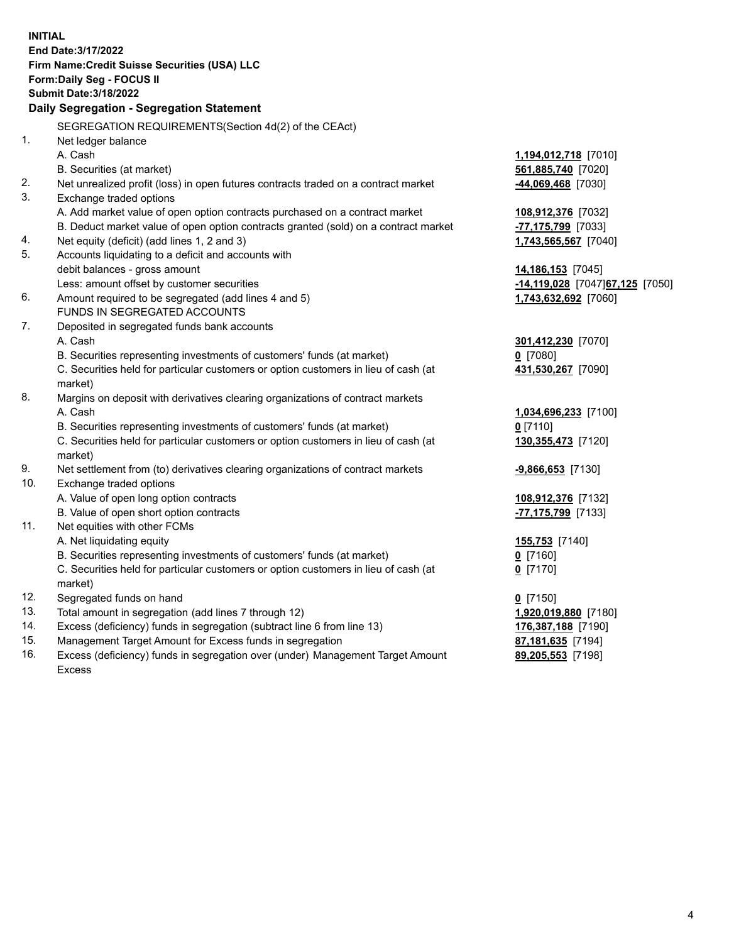15. Management Target Amount for Excess funds in segregation **87,181,635** [7194] 16. Excess (deficiency) funds in segregation over (under) Management Target Amount **89,205,553** [7198] **INITIAL End Date:3/17/2022 Firm Name:Credit Suisse Securities (USA) LLC Form:Daily Seg - FOCUS II Submit Date:3/18/2022 Daily Segregation - Segregation Statement**  SEGREGATION REQUIREMENTS(Section 4d(2) of the CEAct) 1. Net ledger balance A. Cash **1,194,012,718** [7010] B. Securities (at market) **561,885,740** [7020] 2. Net unrealized profit (loss) in open futures contracts traded on a contract market **-44,069,468** [7030] 3. Exchange traded options A. Add market value of open option contracts purchased on a contract market **108,912,376** [7032] B. Deduct market value of open option contracts granted (sold) on a contract market **-77,175,799** [7033] 4. Net equity (deficit) (add lines 1, 2 and 3) **1,743,565,567** [7040] 5. Accounts liquidating to a deficit and accounts with debit balances - gross amount **14,186,153** [7045] Less: amount offset by customer securities **and the securities <b>-14,119,028** [7047] **67,125** [7050] 6. Amount required to be segregated (add lines 4 and 5) **1,743,632,692** [7060] FUNDS IN SEGREGATED ACCOUNTS 7. Deposited in segregated funds bank accounts A. Cash **301,412,230** [7070] B. Securities representing investments of customers' funds (at market) **0** [7080] C. Securities held for particular customers or option customers in lieu of cash (at **431,530,267** [7090] market) 8. Margins on deposit with derivatives clearing organizations of contract markets A. Cash **1,034,696,233** [7100] B. Securities representing investments of customers' funds (at market) **0** [7110] C. Securities held for particular customers or option customers in lieu of cash (at **130,355,473** [7120] market) 9. Net settlement from (to) derivatives clearing organizations of contract markets **-9,866,653** [7130] 10. Exchange traded options A. Value of open long option contracts **108,912,376** [7132] B. Value of open short option contracts **-77,175,799** [7133] 11. Net equities with other FCMs A. Net liquidating equity **155,753** [7140] B. Securities representing investments of customers' funds (at market) **0** [7160] C. Securities held for particular customers or option customers in lieu of cash (at **0** [7170] market) 12. Segregated funds on hand **0** [7150] 13. Total amount in segregation (add lines 7 through 12) **1,920,019,880** [7180] 14. Excess (deficiency) funds in segregation (subtract line 6 from line 13) **176,387,188** [7190]

Excess